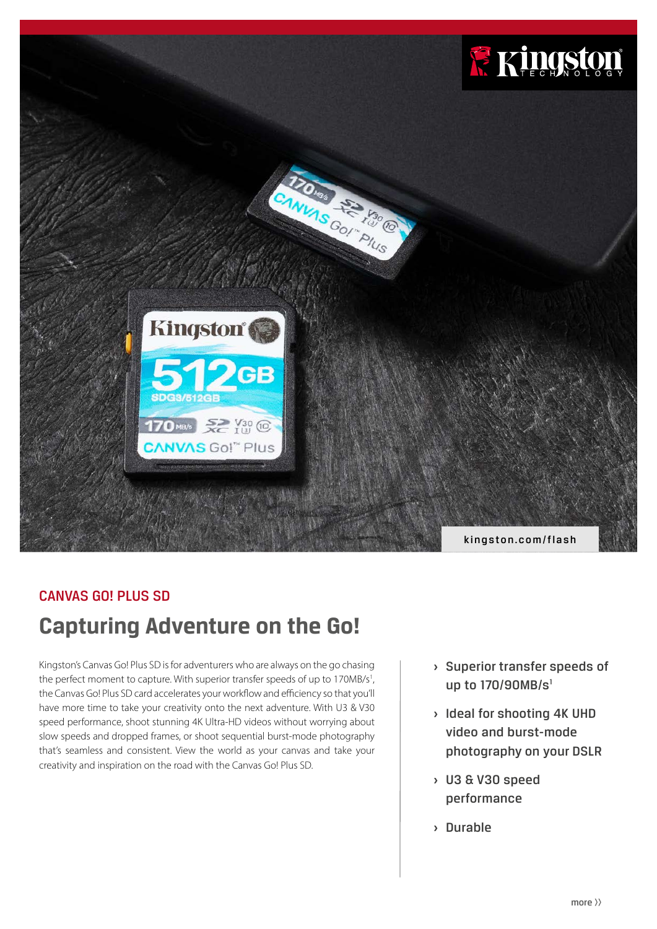

## CANVAS GO! PLUS SD

# **Capturing Adventure on the Go!**

Kingston's Canvas Go! Plus SD is for adventurers who are always on the go chasing the perfect moment to capture. With superior transfer speeds of up to 170MB/s<sup>1</sup>, the Canvas Go! Plus SD card accelerates your workflow and efficiency so that you'll have more time to take your creativity onto the next adventure. With U3 & V30 speed performance, shoot stunning 4K Ultra-HD videos without worrying about slow speeds and dropped frames, or shoot sequential burst-mode photography that's seamless and consistent. View the world as your canvas and take your creativity and inspiration on the road with the Canvas Go! Plus SD.

- **›** Superior transfer speeds of up to 170/90MB/s<sup>1</sup>
- **›** Ideal for shooting 4K UHD video and burst-mode photography on your DSLR
- **›** U3 & V30 speed performance
- **›** Durable